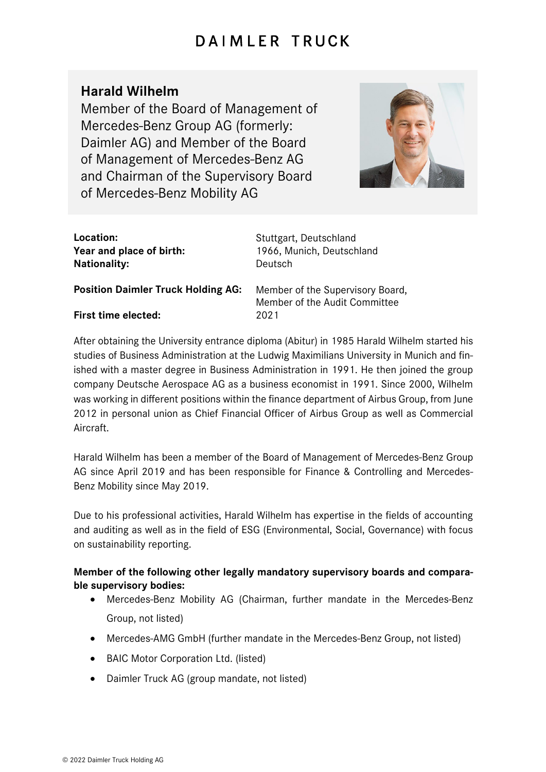## DAIMLER TRUCK

## **Harald Wilhelm**

Member of the Board of Management of Mercedes-Benz Group AG (formerly: Daimler AG) and Member of the Board of Management of Mercedes-Benz AG and Chairman of the Supervisory Board of Mercedes-Benz Mobility AG



| Location:                |  |
|--------------------------|--|
| Year and place of birth: |  |
| <b>Nationality:</b>      |  |

**Location:** Stuttgart, Deutschland 1966, Munich, Deutschland **Nationality:** Deutsch

**Position Daimler Truck Holding AG:** Member of the Supervisory Board,

**First time elected:** 2021

Member of the Audit Committee

After obtaining the University entrance diploma (Abitur) in 1985 Harald Wilhelm started his studies of Business Administration at the Ludwig Maximilians University in Munich and finished with a master degree in Business Administration in 1991. He then joined the group company Deutsche Aerospace AG as a business economist in 1991. Since 2000, Wilhelm was working in different positions within the finance department of Airbus Group, from June 2012 in personal union as Chief Financial Officer of Airbus Group as well as Commercial Aircraft.

Harald Wilhelm has been a member of the Board of Management of Mercedes-Benz Group AG since April 2019 and has been responsible for Finance & Controlling and Mercedes-Benz Mobility since May 2019.

Due to his professional activities, Harald Wilhelm has expertise in the fields of accounting and auditing as well as in the field of ESG (Environmental, Social, Governance) with focus on sustainability reporting.

## **Member of the following other legally mandatory supervisory boards and comparable supervisory bodies:**

- Mercedes-Benz Mobility AG (Chairman, further mandate in the Mercedes-Benz Group, not listed)
- Mercedes-AMG GmbH (further mandate in the Mercedes-Benz Group, not listed)
- BAIC Motor Corporation Ltd. (listed)
- Daimler Truck AG (group mandate, not listed)